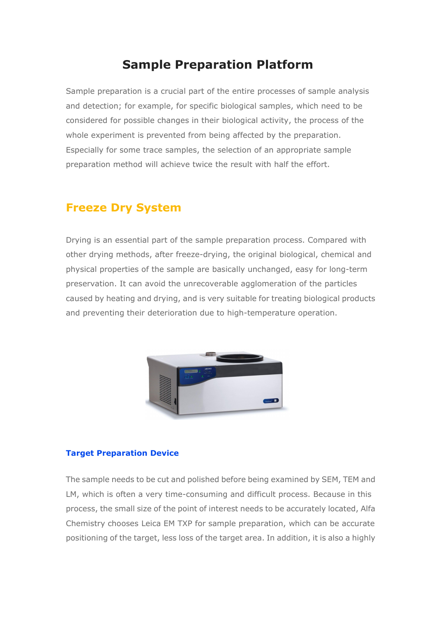# **Sample Preparation Platform**

Sample preparation is a crucial part of the entire processes of sample analysis and detection; for example, for specific biological samples, which need to be considered for possible changes in their biological activity, the process of the whole experiment is prevented from being affected by the preparation. Especially for some trace samples, the selection of an appropriate sample preparation method will achieve twice the result with half the effort.

# **Freeze Dry System**

Drying is an essential part of the sample preparation process. Compared with other drying methods, after freeze-drying, the original biological, chemical and physical properties of the sample are basically unchanged, easy for long-term preservation. It can avoid the unrecoverable agglomeration of the particles caused by heating and drying, and is very suitable for treating biological products and preventing their deterioration due to high-temperature operation.



### **Target [Preparation](https://www.alfachemic.com/testinglab/technique/leica-em-txp.html) Device**

The sample needs to be cut and polished before being examined by SEM, TEM and LM, which is often a very time-consuming and difficult process. Because in this process, the small size of the point of interest needs to be accurately located, Alfa Chemistry chooses Leica EM TXP for sample preparation, which can be accurate positioning of the target, less loss of the target area. In addition, it is also a highly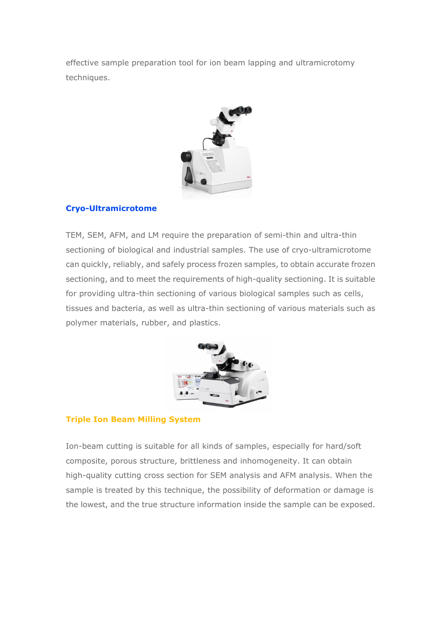effective sample preparation tool for ion beam lapping and ultramicrotomy techniques.



#### **[Cryo-Ultramicrotome](https://www.alfachemic.com/testinglab/technique/cryo-ultramicrotome-uc6-fc6.html)**

TEM, SEM, AFM, and LM require the preparation of semi-thin and ultra-thin sectioning of biological and industrial samples. The use of cryo-ultramicrotome can quickly, reliably, and safely process frozen samples, to obtain accurate frozen sectioning, and to meet the requirements of high-quality sectioning. It is suitable for providing ultra-thin sectioning of various biological samples such as cells,<br>tissues and bacteria, as well as ultra-thin sectioning of various materials such as polymer materials, rubber, and plastics.



#### **Triple Ion Beam Milling System**

Ion-beam cutting is suitable for all kinds of samples, especially for hard/soft composite, porous structure, brittleness and inhomogeneity. It can obtain high-quality cutting cross section for SEM analysis and AFM analysis. When the sample is treated by this technique, the possibility of deformation or damage is the lowest, and the true structure information inside the sample can be exposed.